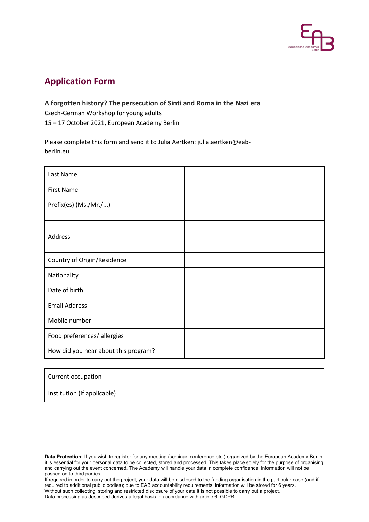

## **Application Form**

## **A forgotten history? The persecution of Sinti and Roma in the Nazi era**

Czech-German Workshop for young adults

15 – 17 October 2021, European Academy Berlin

Please complete this form and send it to Julia Aertken: julia.aertken@eabberlin.eu

| Last Name                            |  |
|--------------------------------------|--|
| <b>First Name</b>                    |  |
| Prefix(es) (Ms./Mr./)                |  |
| Address                              |  |
| Country of Origin/Residence          |  |
| Nationality                          |  |
| Date of birth                        |  |
| <b>Email Address</b>                 |  |
| Mobile number                        |  |
| Food preferences/ allergies          |  |
| How did you hear about this program? |  |

| Current occupation          |  |
|-----------------------------|--|
| Institution (if applicable) |  |

If required in order to carry out the project, your data will be disclosed to the funding organisation in the particular case (and if required to additional public bodies); due to EAB accountability requirements, information will be stored for 6 years. Without such collecting, storing and restricted disclosure of your data it is not possible to carry out a project. Data processing as described derives a legal basis in accordance with article 6, GDPR.

**Data Protection:** If you wish to register for any meeting (seminar, conference etc.) organized by the European Academy Berlin, it is essential for your personal data to be collected, stored and processed. This takes place solely for the purpose of organising and carrying out the event concerned. The Academy will handle your data in complete confidence; information will not be passed on to third parties.